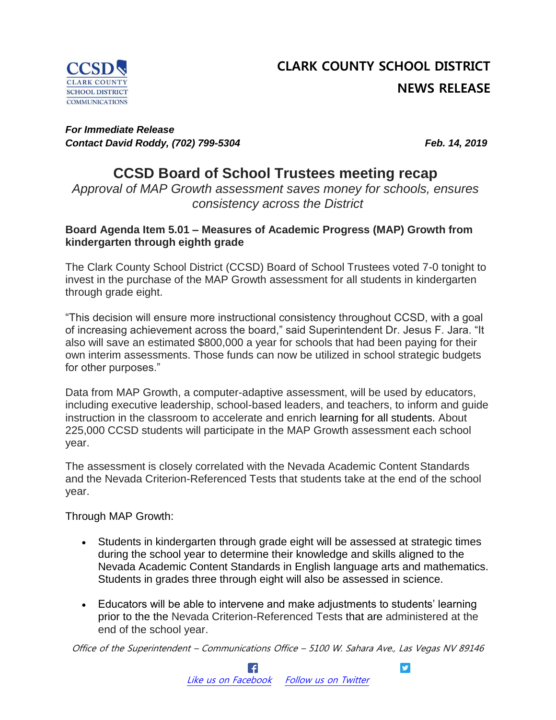

# **CLARK COUNTY SCHOOL DISTRICT NEWS RELEASE**

#### *For Immediate Release Contact David Roddy, (702) 799-5304 Feb. 14, 2019*

# **CCSD Board of School Trustees meeting recap**

*Approval of MAP Growth assessment saves money for schools, ensures consistency across the District*

#### **Board Agenda Item 5.01 – Measures of Academic Progress (MAP) Growth from kindergarten through eighth grade**

The Clark County School District (CCSD) Board of School Trustees voted 7-0 tonight to invest in the purchase of the MAP Growth assessment for all students in kindergarten through grade eight.

"This decision will ensure more instructional consistency throughout CCSD, with a goal of increasing achievement across the board," said Superintendent Dr. Jesus F. Jara. "It also will save an estimated \$800,000 a year for schools that had been paying for their own interim assessments. Those funds can now be utilized in school strategic budgets for other purposes."

Data from MAP Growth, a computer-adaptive assessment, will be used by educators, including executive leadership, school-based leaders, and teachers, to inform and guide instruction in the classroom to accelerate and enrich learning for all students. About 225,000 CCSD students will participate in the MAP Growth assessment each school year.

The assessment is closely correlated with the Nevada Academic Content Standards and the Nevada Criterion-Referenced Tests that students take at the end of the school year.

Through MAP Growth:

- Students in kindergarten through grade eight will be assessed at strategic times during the school year to determine their knowledge and skills aligned to the Nevada Academic Content Standards in English language arts and mathematics. Students in grades three through eight will also be assessed in science.
- Educators will be able to intervene and make adjustments to students' learning prior to the the Nevada Criterion-Referenced Tests that are administered at the end of the school year.

Office of the Superintendent – Communications Office – 5100 W. Sahara Ave., Las Vegas NV 89146

 $\bullet$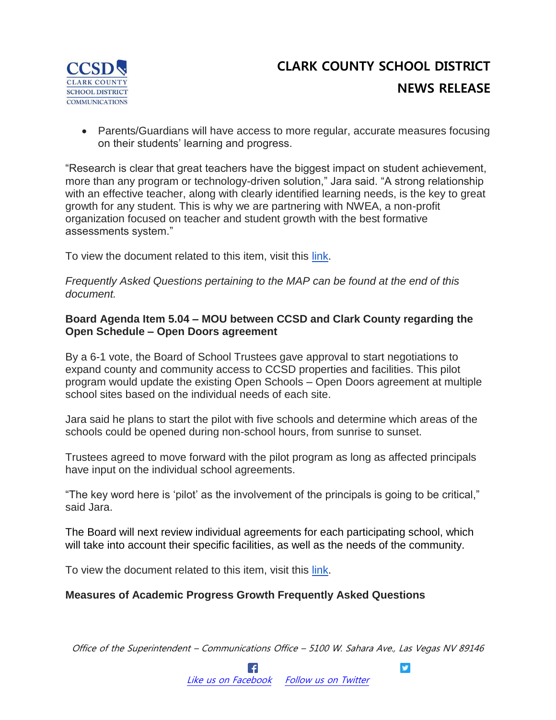

# **CLARK COUNTY SCHOOL DISTRICT NEWS RELEASE**

 Parents/Guardians will have access to more regular, accurate measures focusing on their students' learning and progress.

"Research is clear that great teachers have the biggest impact on student achievement, more than any program or technology-driven solution," Jara said. "A strong relationship with an effective teacher, along with clearly identified learning needs, is the key to great growth for any student. This is why we are partnering with NWEA, a non-profit organization focused on teacher and student growth with the best formative assessments system."

To view the document related to this item, visit this [link.](https://www.boarddocs.com/nv/ccsdlv/Board.nsf/files/B95M2S572FD9/$file/02.14.19%20Ref.%205.01.pdf)

*Frequently Asked Questions pertaining to the MAP can be found at the end of this document.*

#### **Board Agenda Item 5.04 – MOU between CCSD and Clark County regarding the Open Schedule – Open Doors agreement**

By a 6-1 vote, the Board of School Trustees gave approval to start negotiations to expand county and community access to CCSD properties and facilities. This pilot program would update the existing Open Schools – Open Doors agreement at multiple school sites based on the individual needs of each site.

Jara said he plans to start the pilot with five schools and determine which areas of the schools could be opened during non-school hours, from sunrise to sunset.

Trustees agreed to move forward with the pilot program as long as affected principals have input on the individual school agreements.

"The key word here is 'pilot' as the involvement of the principals is going to be critical," said Jara.

The Board will next review individual agreements for each participating school, which will take into account their specific facilities, as well as the needs of the community.

To view the document related to this item, visit this [link.](https://www.boarddocs.com/nv/ccsdlv/Board.nsf/files/B95LPZ5641C0/$file/02.14.19%20Ref.%205.04.pdf)

#### **Measures of Academic Progress Growth Frequently Asked Questions**

Office of the Superintendent – Communications Office – 5100 W. Sahara Ave., Las Vegas NV 89146

 $\bullet$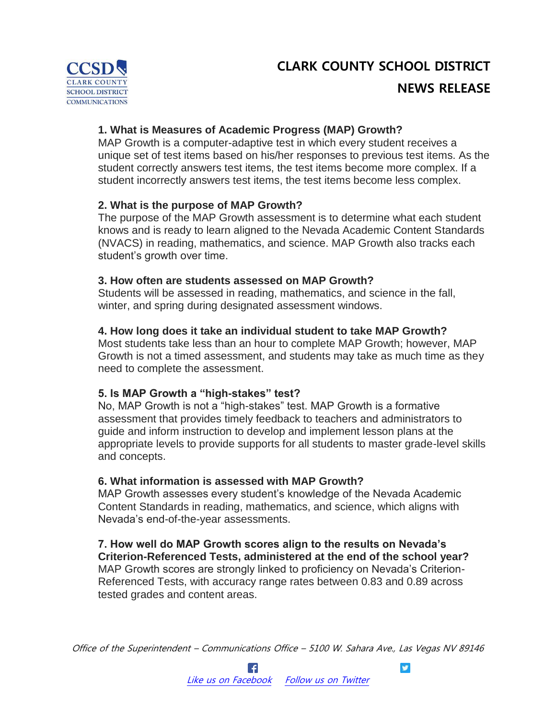# **CLARK COUNTY SCHOOL DISTRICT**



## **NEWS RELEASE**

#### **1. What is Measures of Academic Progress (MAP) Growth?**

MAP Growth is a computer-adaptive test in which every student receives a unique set of test items based on his/her responses to previous test items. As the student correctly answers test items, the test items become more complex. If a student incorrectly answers test items, the test items become less complex.

#### **2. What is the purpose of MAP Growth?**

The purpose of the MAP Growth assessment is to determine what each student knows and is ready to learn aligned to the Nevada Academic Content Standards (NVACS) in reading, mathematics, and science. MAP Growth also tracks each student's growth over time.

#### **3. How often are students assessed on MAP Growth?**

Students will be assessed in reading, mathematics, and science in the fall, winter, and spring during designated assessment windows.

#### **4. How long does it take an individual student to take MAP Growth?**

Most students take less than an hour to complete MAP Growth; however, MAP Growth is not a timed assessment, and students may take as much time as they need to complete the assessment.

#### **5. Is MAP Growth a "high-stakes" test?**

No, MAP Growth is not a "high-stakes" test. MAP Growth is a formative assessment that provides timely feedback to teachers and administrators to guide and inform instruction to develop and implement lesson plans at the appropriate levels to provide supports for all students to master grade-level skills and concepts.

#### **6. What information is assessed with MAP Growth?**

MAP Growth assesses every student's knowledge of the Nevada Academic Content Standards in reading, mathematics, and science, which aligns with Nevada's end-of-the-year assessments.

**7. How well do MAP Growth scores align to the results on Nevada's Criterion-Referenced Tests, administered at the end of the school year?** MAP Growth scores are strongly linked to proficiency on Nevada's Criterion-Referenced Tests, with accuracy range rates between 0.83 and 0.89 across tested grades and content areas.

Office of the Superintendent – Communications Office – 5100 W. Sahara Ave., Las Vegas NV 89146

y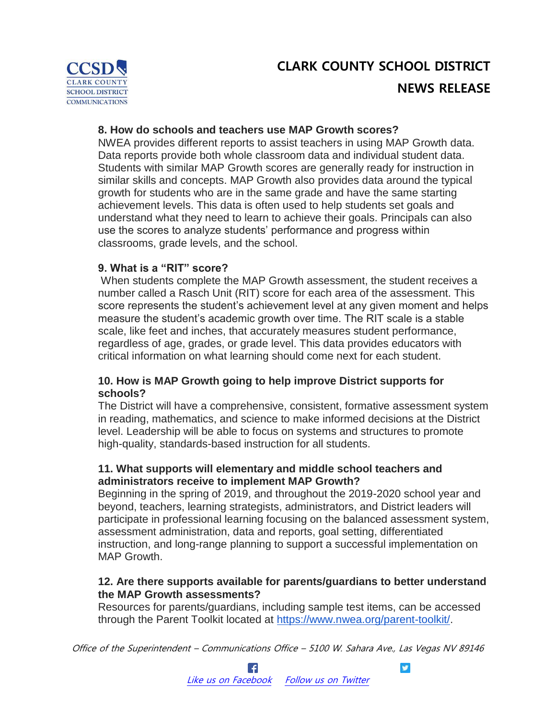# **CLARK COUNTY SCHOOL DISTRICT COMMUNICATIONS**

# **CLARK COUNTY SCHOOL DISTRICT NEWS RELEASE**

## **8. How do schools and teachers use MAP Growth scores?**

NWEA provides different reports to assist teachers in using MAP Growth data. Data reports provide both whole classroom data and individual student data. Students with similar MAP Growth scores are generally ready for instruction in similar skills and concepts. MAP Growth also provides data around the typical growth for students who are in the same grade and have the same starting achievement levels. This data is often used to help students set goals and understand what they need to learn to achieve their goals. Principals can also use the scores to analyze students' performance and progress within classrooms, grade levels, and the school.

### **9. What is a "RIT" score?**

When students complete the MAP Growth assessment, the student receives a number called a Rasch Unit (RIT) score for each area of the assessment. This score represents the student's achievement level at any given moment and helps measure the student's academic growth over time. The RIT scale is a stable scale, like feet and inches, that accurately measures student performance, regardless of age, grades, or grade level. This data provides educators with critical information on what learning should come next for each student.

### **10. How is MAP Growth going to help improve District supports for schools?**

The District will have a comprehensive, consistent, formative assessment system in reading, mathematics, and science to make informed decisions at the District level. Leadership will be able to focus on systems and structures to promote high-quality, standards-based instruction for all students.

### **11. What supports will elementary and middle school teachers and administrators receive to implement MAP Growth?**

Beginning in the spring of 2019, and throughout the 2019-2020 school year and beyond, teachers, learning strategists, administrators, and District leaders will participate in professional learning focusing on the balanced assessment system, assessment administration, data and reports, goal setting, differentiated instruction, and long-range planning to support a successful implementation on MAP Growth.

#### **12. Are there supports available for parents/guardians to better understand the MAP Growth assessments?**

Resources for parents/guardians, including sample test items, can be accessed through the Parent Toolkit located at [https://www.nwea.org/parent-toolkit/.](https://www.nwea.org/parent-toolkit/)

Office of the Superintendent – Communications Office – 5100 W. Sahara Ave., Las Vegas NV 89146

y